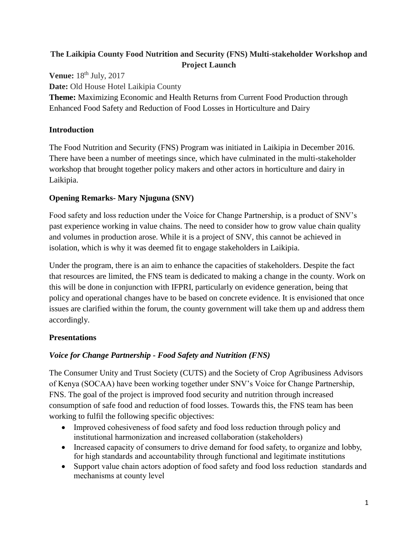# **The Laikipia County Food Nutrition and Security (FNS) Multi-stakeholder Workshop and Project Launch**

**Venue:** 18<sup>th</sup> July, 2017 **Date:** Old House Hotel Laikipia County **Theme:** Maximizing Economic and Health Returns from Current Food Production through Enhanced Food Safety and Reduction of Food Losses in Horticulture and Dairy

## **Introduction**

The Food Nutrition and Security (FNS) Program was initiated in Laikipia in December 2016. There have been a number of meetings since, which have culminated in the multi-stakeholder workshop that brought together policy makers and other actors in horticulture and dairy in Laikipia.

## **Opening Remarks- Mary Njuguna (SNV)**

Food safety and loss reduction under the Voice for Change Partnership, is a product of SNV's past experience working in value chains. The need to consider how to grow value chain quality and volumes in production arose. While it is a project of SNV, this cannot be achieved in isolation, which is why it was deemed fit to engage stakeholders in Laikipia.

Under the program, there is an aim to enhance the capacities of stakeholders. Despite the fact that resources are limited, the FNS team is dedicated to making a change in the county. Work on this will be done in conjunction with IFPRI, particularly on evidence generation, being that policy and operational changes have to be based on concrete evidence. It is envisioned that once issues are clarified within the forum, the county government will take them up and address them accordingly.

# **Presentations**

# *Voice for Change Partnership - Food Safety and Nutrition (FNS)*

The Consumer Unity and Trust Society (CUTS) and the Society of Crop Agribusiness Advisors of Kenya (SOCAA) have been working together under SNV's Voice for Change Partnership, FNS. The goal of the project is improved food security and nutrition through increased consumption of safe food and reduction of food losses. Towards this, the FNS team has been working to fulfil the following specific objectives:

- Improved cohesiveness of food safety and food loss reduction through policy and institutional harmonization and increased collaboration (stakeholders)
- Increased capacity of consumers to drive demand for food safety, to organize and lobby, for high standards and accountability through functional and legitimate institutions
- Support value chain actors adoption of food safety and food loss reduction standards and mechanisms at county level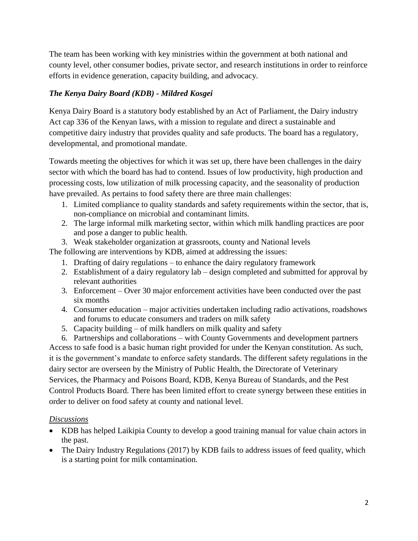The team has been working with key ministries within the government at both national and county level, other consumer bodies, private sector, and research institutions in order to reinforce efforts in evidence generation, capacity building, and advocacy.

## *The Kenya Dairy Board (KDB) - Mildred Kosgei*

Kenya Dairy Board is a statutory body established by an Act of Parliament, the Dairy industry Act cap 336 of the Kenyan laws, with a mission to regulate and direct a sustainable and competitive dairy industry that provides quality and safe products. The board has a regulatory, developmental, and promotional mandate.

Towards meeting the objectives for which it was set up, there have been challenges in the dairy sector with which the board has had to contend. Issues of low productivity, high production and processing costs, low utilization of milk processing capacity, and the seasonality of production have prevailed. As pertains to food safety there are three main challenges:

- 1. Limited compliance to quality standards and safety requirements within the sector, that is, non-compliance on microbial and contaminant limits.
- 2. The large informal milk marketing sector, within which milk handling practices are poor and pose a danger to public health.
- 3. Weak stakeholder organization at grassroots, county and National levels

The following are interventions by KDB, aimed at addressing the issues:

- 1. Drafting of dairy regulations to enhance the dairy regulatory framework
- 2. Establishment of a dairy regulatory lab design completed and submitted for approval by relevant authorities
- 3. Enforcement Over 30 major enforcement activities have been conducted over the past six months
- 4. Consumer education major activities undertaken including radio activations, roadshows and forums to educate consumers and traders on milk safety
- 5. Capacity building of milk handlers on milk quality and safety

6. Partnerships and collaborations – with County Governments and development partners Access to safe food is a basic human right provided for under the Kenyan constitution. As such, it is the government's mandate to enforce safety standards. The different safety regulations in the dairy sector are overseen by the Ministry of Public Health, the Directorate of Veterinary Services, the Pharmacy and Poisons Board, KDB, Kenya Bureau of Standards, and the Pest Control Products Board. There has been limited effort to create synergy between these entities in order to deliver on food safety at county and national level.

## *Discussions*

- KDB has helped Laikipia County to develop a good training manual for value chain actors in the past.
- The Dairy Industry Regulations (2017) by KDB fails to address issues of feed quality, which is a starting point for milk contamination.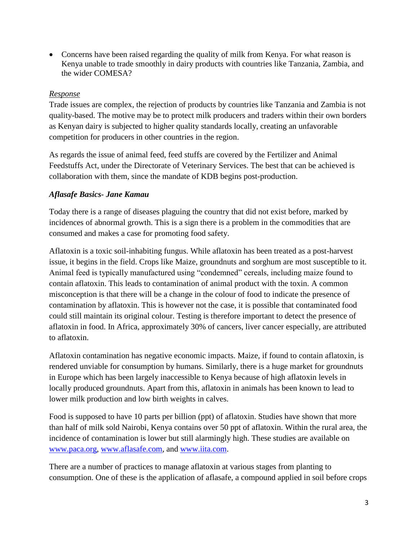• Concerns have been raised regarding the quality of milk from Kenya. For what reason is Kenya unable to trade smoothly in dairy products with countries like Tanzania, Zambia, and the wider COMESA?

## *Response*

Trade issues are complex, the rejection of products by countries like Tanzania and Zambia is not quality-based. The motive may be to protect milk producers and traders within their own borders as Kenyan dairy is subjected to higher quality standards locally, creating an unfavorable competition for producers in other countries in the region.

As regards the issue of animal feed, feed stuffs are covered by the Fertilizer and Animal Feedstuffs Act, under the Directorate of Veterinary Services. The best that can be achieved is collaboration with them, since the mandate of KDB begins post-production.

## *Aflasafe Basics- Jane Kamau*

Today there is a range of diseases plaguing the country that did not exist before, marked by incidences of abnormal growth. This is a sign there is a problem in the commodities that are consumed and makes a case for promoting food safety.

Aflatoxin is a toxic soil-inhabiting fungus. While aflatoxin has been treated as a post-harvest issue, it begins in the field. Crops like Maize, groundnuts and sorghum are most susceptible to it. Animal feed is typically manufactured using "condemned" cereals, including maize found to contain aflatoxin. This leads to contamination of animal product with the toxin. A common misconception is that there will be a change in the colour of food to indicate the presence of contamination by aflatoxin. This is however not the case, it is possible that contaminated food could still maintain its original colour. Testing is therefore important to detect the presence of aflatoxin in food. In Africa, approximately 30% of cancers, liver cancer especially, are attributed to aflatoxin.

Aflatoxin contamination has negative economic impacts. Maize, if found to contain aflatoxin, is rendered unviable for consumption by humans. Similarly, there is a huge market for groundnuts in Europe which has been largely inaccessible to Kenya because of high aflatoxin levels in locally produced groundnuts. Apart from this, aflatoxin in animals has been known to lead to lower milk production and low birth weights in calves.

Food is supposed to have 10 parts per billion (ppt) of aflatoxin. Studies have shown that more than half of milk sold Nairobi, Kenya contains over 50 ppt of aflatoxin. Within the rural area, the incidence of contamination is lower but still alarmingly high. These studies are available on [www.paca.org,](http://www.paca.org/) [www.aflasafe.com,](http://www.aflasafe.com/) and [www.iita.com.](http://www.iita.com/)

There are a number of practices to manage aflatoxin at various stages from planting to consumption. One of these is the application of aflasafe, a compound applied in soil before crops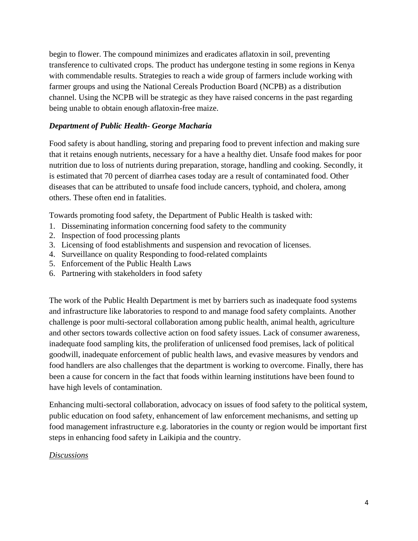begin to flower. The compound minimizes and eradicates aflatoxin in soil, preventing transference to cultivated crops. The product has undergone testing in some regions in Kenya with commendable results. Strategies to reach a wide group of farmers include working with farmer groups and using the National Cereals Production Board (NCPB) as a distribution channel. Using the NCPB will be strategic as they have raised concerns in the past regarding being unable to obtain enough aflatoxin-free maize.

## *Department of Public Health- George Macharia*

Food safety is about handling, storing and preparing food to prevent infection and making sure that it retains enough nutrients, necessary for a have a healthy diet. Unsafe food makes for poor nutrition due to loss of nutrients during preparation, storage, handling and cooking. Secondly, it is estimated that 70 percent of diarrhea cases today are a result of contaminated food. Other diseases that can be attributed to unsafe food include cancers, typhoid, and cholera, among others. These often end in fatalities.

Towards promoting food safety, the Department of Public Health is tasked with:

- 1. Disseminating information concerning food safety to the community
- 2. Inspection of food processing plants
- 3. Licensing of food establishments and suspension and revocation of licenses.
- 4. Surveillance on quality Responding to food-related complaints
- 5. Enforcement of the Public Health Laws
- 6. Partnering with stakeholders in food safety

The work of the Public Health Department is met by barriers such as inadequate food systems and infrastructure like laboratories to respond to and manage food safety complaints. Another challenge is poor multi-sectoral collaboration among public health, animal health, agriculture and other sectors towards collective action on food safety issues. Lack of consumer awareness, inadequate food sampling kits, the proliferation of unlicensed food premises, lack of political goodwill, inadequate enforcement of public health laws, and evasive measures by vendors and food handlers are also challenges that the department is working to overcome. Finally, there has been a cause for concern in the fact that foods within learning institutions have been found to have high levels of contamination.

Enhancing multi-sectoral collaboration, advocacy on issues of food safety to the political system, public education on food safety, enhancement of law enforcement mechanisms, and setting up food management infrastructure e.g. laboratories in the county or region would be important first steps in enhancing food safety in Laikipia and the country.

## *Discussions*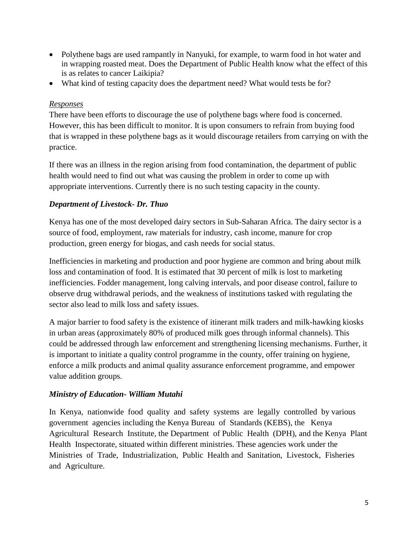- Polythene bags are used rampantly in Nanyuki, for example, to warm food in hot water and in wrapping roasted meat. Does the Department of Public Health know what the effect of this is as relates to cancer Laikipia?
- What kind of testing capacity does the department need? What would tests be for?

#### *Responses*

There have been efforts to discourage the use of polythene bags where food is concerned. However, this has been difficult to monitor. It is upon consumers to refrain from buying food that is wrapped in these polythene bags as it would discourage retailers from carrying on with the practice.

If there was an illness in the region arising from food contamination, the department of public health would need to find out what was causing the problem in order to come up with appropriate interventions. Currently there is no such testing capacity in the county.

## *Department of Livestock- Dr. Thuo*

Kenya has one of the most developed dairy sectors in Sub-Saharan Africa. The dairy sector is a source of food, employment, raw materials for industry, cash income, manure for crop production, green energy for biogas, and cash needs for social status.

Inefficiencies in marketing and production and poor hygiene are common and bring about milk loss and contamination of food. It is estimated that 30 percent of milk is lost to marketing inefficiencies. Fodder management, long calving intervals, and poor disease control, failure to observe drug withdrawal periods, and the weakness of institutions tasked with regulating the sector also lead to milk loss and safety issues.

A major barrier to food safety is the existence of itinerant milk traders and milk-hawking kiosks in urban areas (approximately 80% of produced milk goes through informal channels). This could be addressed through law enforcement and strengthening licensing mechanisms. Further, it is important to initiate a quality control programme in the county, offer training on hygiene, enforce a milk products and animal quality assurance enforcement programme, and empower value addition groups.

## *Ministry of Education- William Mutahi*

In Kenya, nationwide food quality and safety systems are legally controlled by various government agencies including the Kenya Bureau of Standards (KEBS), the Kenya Agricultural Research Institute, the Department of Public Health (DPH), and the Kenya Plant Health Inspectorate, situated within different ministries. These agencies work under the Ministries of Trade, Industrialization, Public Health and Sanitation, Livestock, Fisheries and Agriculture.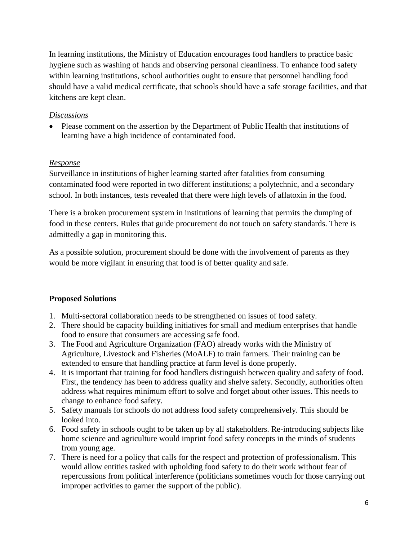In learning institutions, the Ministry of Education encourages food handlers to practice basic hygiene such as washing of hands and observing personal cleanliness. To enhance food safety within learning institutions, school authorities ought to ensure that personnel handling food should have a valid medical certificate, that schools should have a safe storage facilities, and that kitchens are kept clean.

#### *Discussions*

• Please comment on the assertion by the Department of Public Health that institutions of learning have a high incidence of contaminated food.

#### *Response*

Surveillance in institutions of higher learning started after fatalities from consuming contaminated food were reported in two different institutions; a polytechnic, and a secondary school. In both instances, tests revealed that there were high levels of aflatoxin in the food.

There is a broken procurement system in institutions of learning that permits the dumping of food in these centers. Rules that guide procurement do not touch on safety standards. There is admittedly a gap in monitoring this.

As a possible solution, procurement should be done with the involvement of parents as they would be more vigilant in ensuring that food is of better quality and safe.

## **Proposed Solutions**

- 1. Multi-sectoral collaboration needs to be strengthened on issues of food safety.
- 2. There should be capacity building initiatives for small and medium enterprises that handle food to ensure that consumers are accessing safe food.
- 3. The Food and Agriculture Organization (FAO) already works with the Ministry of Agriculture, Livestock and Fisheries (MoALF) to train farmers. Their training can be extended to ensure that handling practice at farm level is done properly.
- 4. It is important that training for food handlers distinguish between quality and safety of food. First, the tendency has been to address quality and shelve safety. Secondly, authorities often address what requires minimum effort to solve and forget about other issues. This needs to change to enhance food safety.
- 5. Safety manuals for schools do not address food safety comprehensively. This should be looked into.
- 6. Food safety in schools ought to be taken up by all stakeholders. Re-introducing subjects like home science and agriculture would imprint food safety concepts in the minds of students from young age.
- 7. There is need for a policy that calls for the respect and protection of professionalism. This would allow entities tasked with upholding food safety to do their work without fear of repercussions from political interference (politicians sometimes vouch for those carrying out improper activities to garner the support of the public).